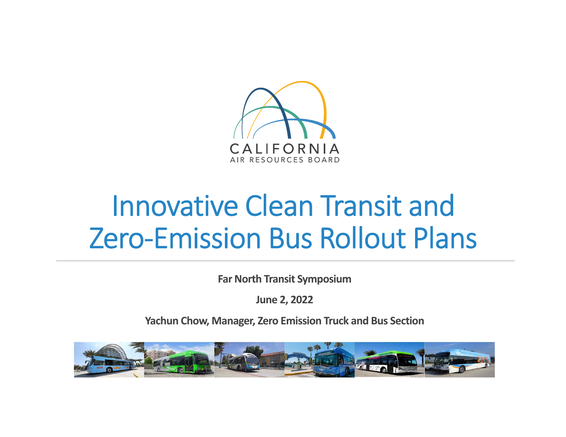

# Innovative Clean Transit and Zero‐Emission Bus Rollout Plans

**Far North Transit Symposium**

**June 2, 2022**

**Yachun Chow, Manager, Zero Emission Truck and Bus Section**

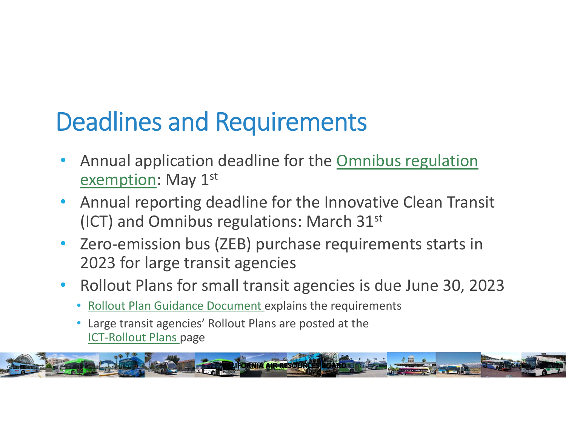# Deadlines and Requirements

- • Annual application deadline for the Omnibus regulation exemption: May 1st
- • Annual reporting deadline for the Innovative Clean Transit (ICT) and Omnibus regulations: March 31st
- •Zero-emission bus (ZEB) purchase requirements starts in 2023 for large transit agencies
- • Rollout Plans for small transit agencies is due June 30, 2023
	- •Rollout Plan Guidance Document explains the requirements
	- • Large transit agencies' Rollout Plans are posted at the ICT‐Rollout Plans page

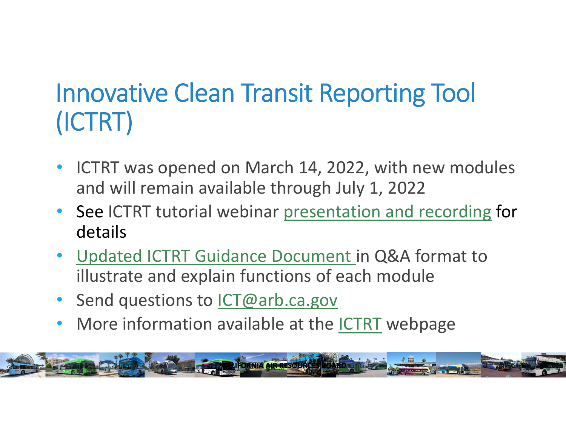### Innovative Clean Transit Reporting Tool (ICTRT)

- • ICTRT was opened on March 14, 2022, with new modules and will remain available through July 1, 2022
- • See ICTRT tutorial webinar presentation and recording for details
- Updated ICTRT Guidance Document in Q&A format to illustrate and explain functions of each module
- Send questions to *ICT@arb.ca.gov*
- •• More information available at the **ICTRT** webpage

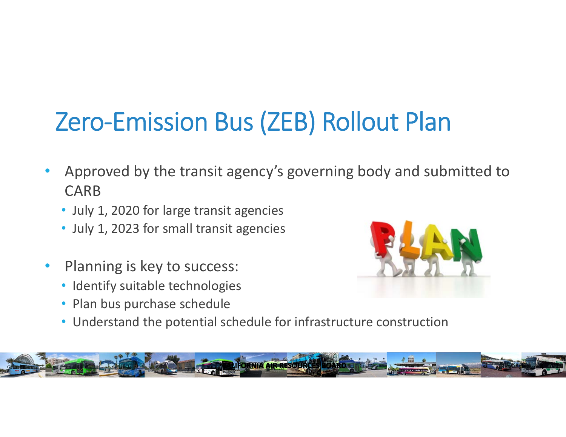# Zero‐Emission Bus (ZEB) Rollout Plan

- • Approved by the transit agency's governing body and submitted to CARB
	- July 1, 2020 for large transit agencies
	- July 1, 2023 for small transit agencies
- • Planning is key to success:
	- Identify suitable technologies
	- Plan bus purchase schedule



• Understand the potential schedule for infrastructure construction

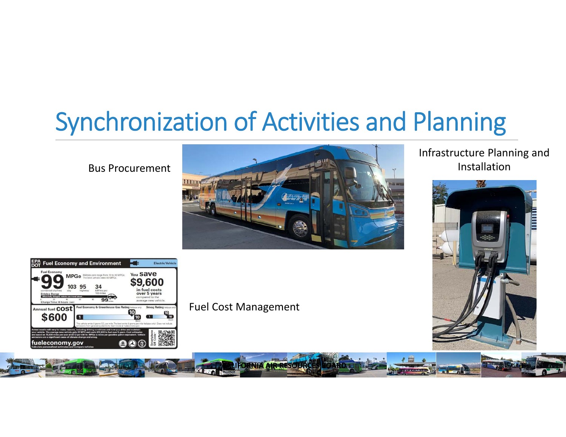#### Synchronization of Activities and Planning

Bus Procurement



#### Infrastructure Planning and Installation





Fuel Cost Management

**LIFORNIA AIR RESOURCES**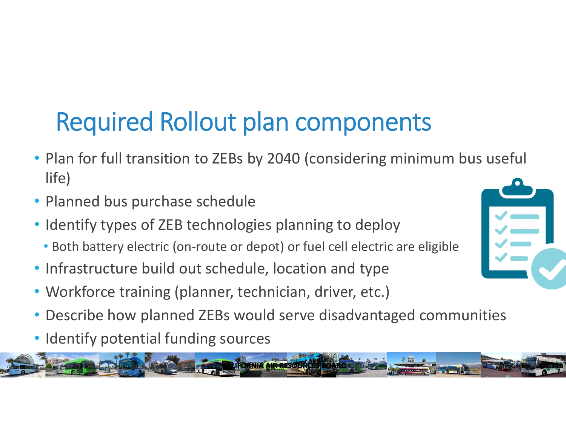# Required Rollout plan components

- Plan for full transition to ZEBs by 2040 (considering minimum bus useful life)
- Planned bus purchase schedule
- Identify types of ZEB technologies planning to deploy
	- Both battery electric (on‐route or depot) or fuel cell electric are eligible
- Infrastructure build out schedule, location and type
- Workforce training (planner, technician, driver, etc.)
- •Describe how planned ZEBs would serve disadvantaged communities

**CALIFORNIA AIR RESOURCE** 

• Identify potential funding sources



**6**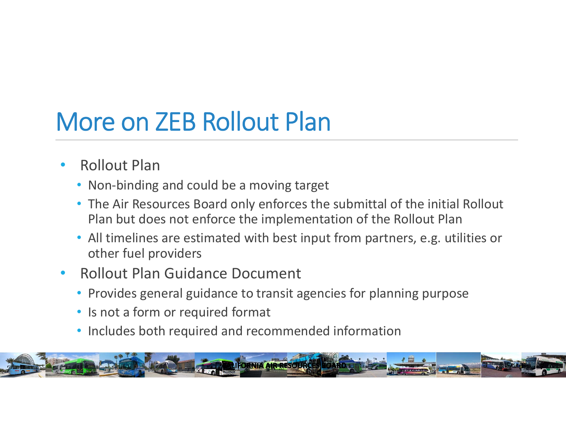### More on ZEB Rollout Plan

- • Rollout Plan
	- Non-binding and could be a moving target
	- The Air Resources Board only enforces the submittal of the initial Rollout Plan but does not enforce the implementation of the Rollout Plan
	- All timelines are estimated with best input from partners, e.g. utilities or other fuel providers
- • Rollout Plan Guidance Document
	- Provides general guidance to transit agencies for planning purpose
	- Is not a form or required format
	- Includes both required and recommended information